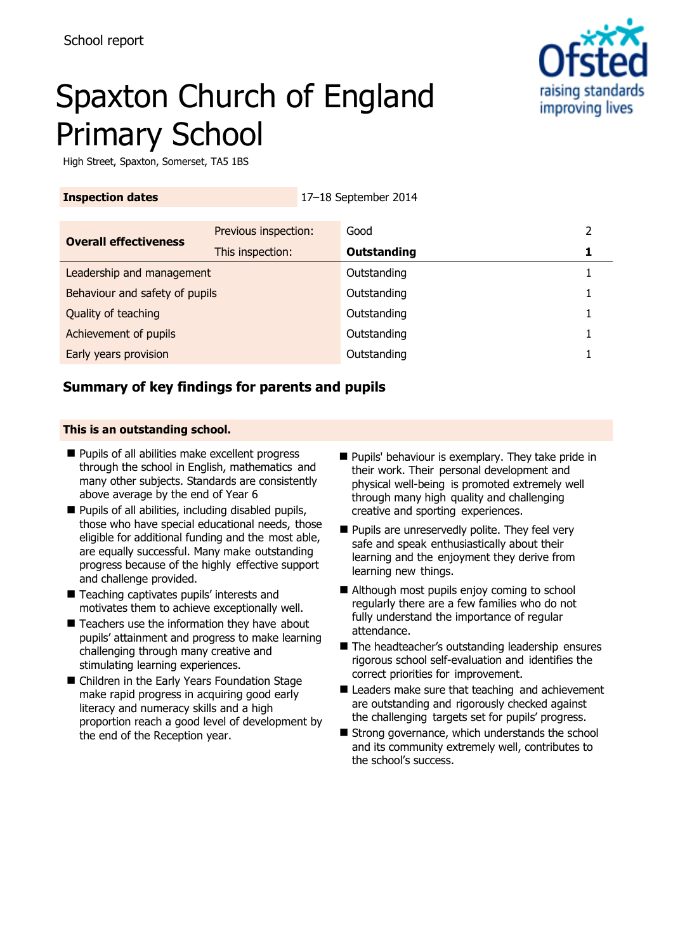

# Spaxton Church of England Primary School

High Street, Spaxton, Somerset, TA5 1BS

| <b>Inspection dates</b>        |                      | 17-18 September 2014 |                    |  |
|--------------------------------|----------------------|----------------------|--------------------|--|
| <b>Overall effectiveness</b>   | Previous inspection: |                      | Good               |  |
|                                | This inspection:     |                      | <b>Outstanding</b> |  |
| Leadership and management      |                      | Outstanding          |                    |  |
| Behaviour and safety of pupils |                      |                      | Outstanding        |  |
| Quality of teaching            |                      |                      | Outstanding        |  |
| Achievement of pupils          |                      |                      | Outstanding        |  |
| Early years provision          |                      |                      | Outstanding        |  |
|                                |                      |                      |                    |  |

# **Summary of key findings for parents and pupils**

### **This is an outstanding school.**

- **Pupils of all abilities make excellent progress** through the school in English, mathematics and many other subjects. Standards are consistently above average by the end of Year 6
- **Pupils of all abilities, including disabled pupils,** those who have special educational needs, those eligible for additional funding and the most able, are equally successful. Many make outstanding progress because of the highly effective support and challenge provided.
- Teaching captivates pupils' interests and motivates them to achieve exceptionally well.
- $\blacksquare$  Teachers use the information they have about pupils' attainment and progress to make learning challenging through many creative and stimulating learning experiences.
- Children in the Early Years Foundation Stage make rapid progress in acquiring good early literacy and numeracy skills and a high proportion reach a good level of development by the end of the Reception year.
- **Pupils'** behaviour is exemplary. They take pride in their work. Their personal development and physical well-being is promoted extremely well through many high quality and challenging creative and sporting experiences.
- **Pupils are unreservedly polite. They feel very** safe and speak enthusiastically about their learning and the enjoyment they derive from learning new things.
- Although most pupils enjoy coming to school regularly there are a few families who do not fully understand the importance of regular attendance.
- The headteacher's outstanding leadership ensures rigorous school self-evaluation and identifies the correct priorities for improvement.
- Leaders make sure that teaching and achievement are outstanding and rigorously checked against the challenging targets set for pupils' progress.
- Strong governance, which understands the school and its community extremely well, contributes to the school's success.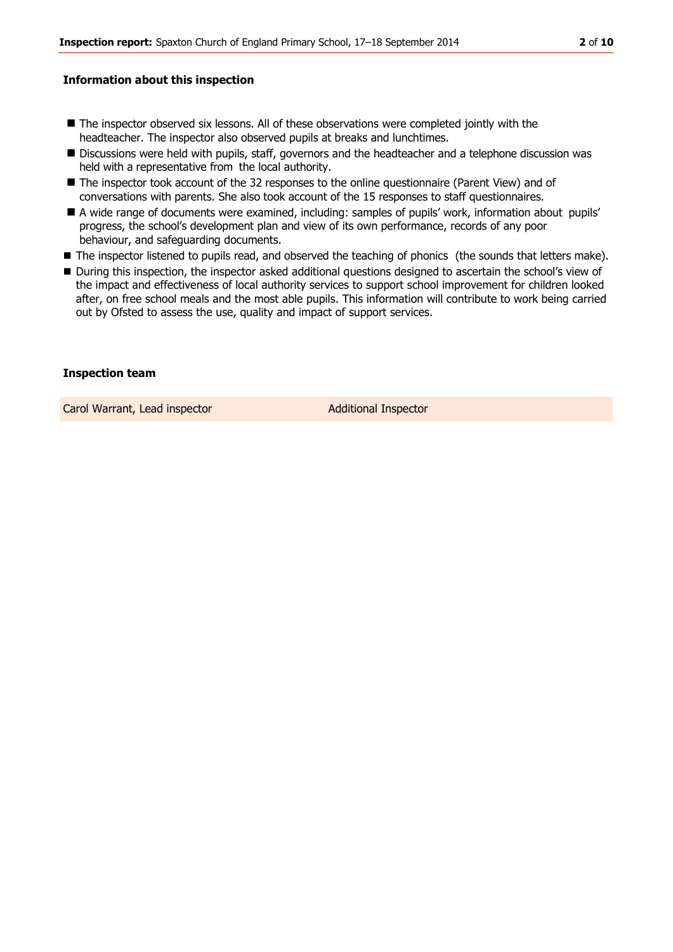### **Information about this inspection**

- The inspector observed six lessons. All of these observations were completed jointly with the headteacher. The inspector also observed pupils at breaks and lunchtimes.
- **Discussions were held with pupils, staff, governors and the headteacher and a telephone discussion was** held with a representative from the local authority.
- The inspector took account of the 32 responses to the online questionnaire (Parent View) and of conversations with parents. She also took account of the 15 responses to staff questionnaires.
- A wide range of documents were examined, including: samples of pupils' work, information about pupils' progress, the school's development plan and view of its own performance, records of any poor behaviour, and safeguarding documents.
- The inspector listened to pupils read, and observed the teaching of phonics (the sounds that letters make).
- During this inspection, the inspector asked additional questions designed to ascertain the school's view of the impact and effectiveness of local authority services to support school improvement for children looked after, on free school meals and the most able pupils. This information will contribute to work being carried out by Ofsted to assess the use, quality and impact of support services.

### **Inspection team**

Carol Warrant, Lead inspector and a control additional Inspector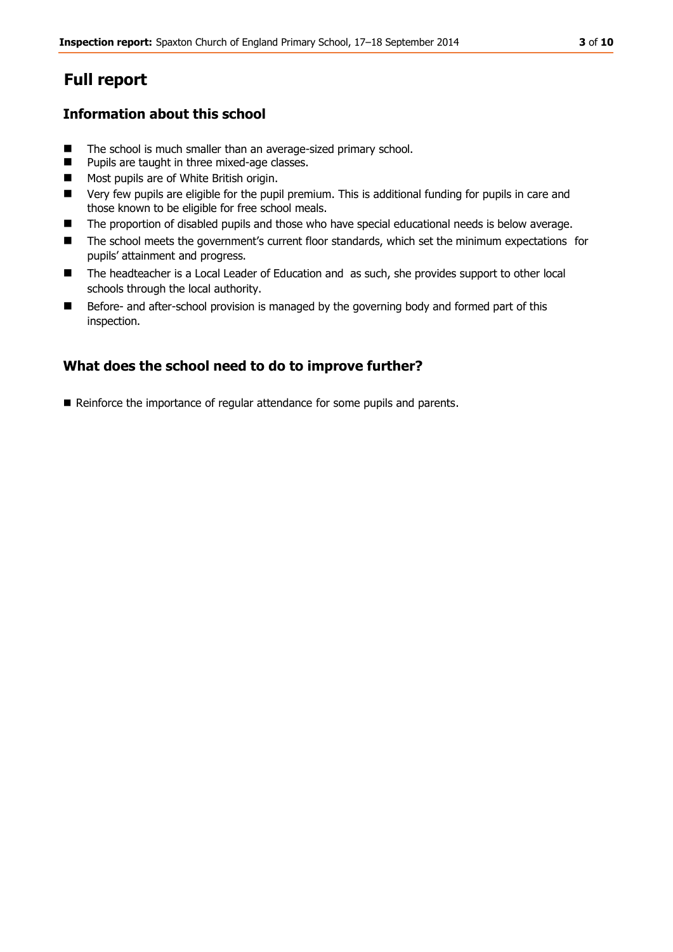# **Full report**

# **Information about this school**

- The school is much smaller than an average-sized primary school.
- **Pupils are taught in three mixed-age classes.**
- **Most pupils are of White British origin.**
- Very few pupils are eligible for the pupil premium. This is additional funding for pupils in care and those known to be eligible for free school meals.
- **The proportion of disabled pupils and those who have special educational needs is below average.**
- The school meets the government's current floor standards, which set the minimum expectations for pupils' attainment and progress.
- The headteacher is a Local Leader of Education and as such, she provides support to other local schools through the local authority.
- Before- and after-school provision is managed by the governing body and formed part of this inspection.

# **What does the school need to do to improve further?**

Reinforce the importance of regular attendance for some pupils and parents.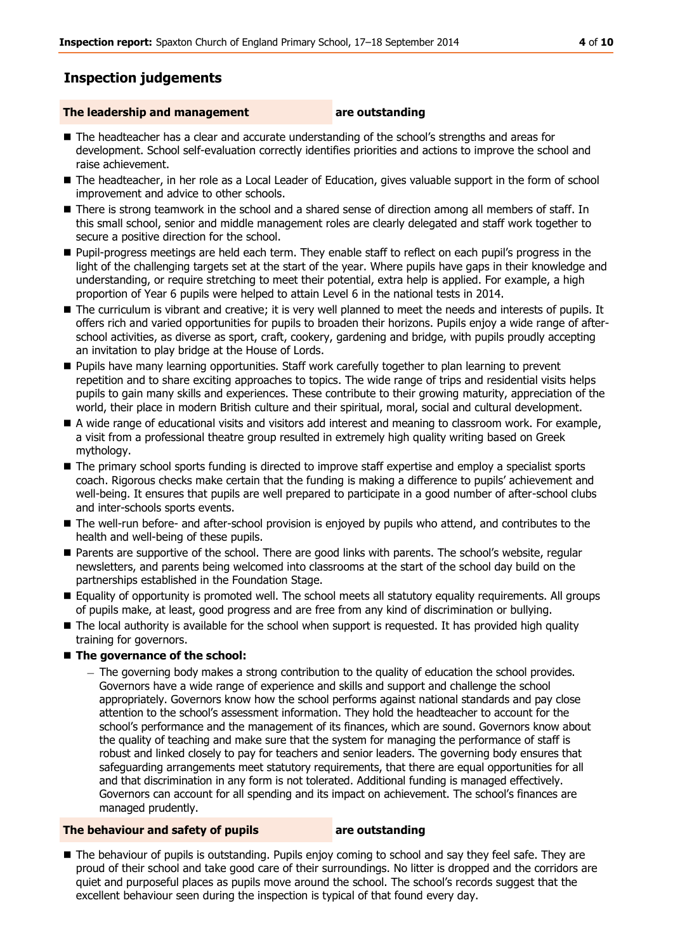# **Inspection judgements**

### **The leadership and management are outstanding**

- The headteacher has a clear and accurate understanding of the school's strengths and areas for development. School self-evaluation correctly identifies priorities and actions to improve the school and raise achievement.
- The headteacher, in her role as a Local Leader of Education, gives valuable support in the form of school improvement and advice to other schools.
- There is strong teamwork in the school and a shared sense of direction among all members of staff. In this small school, senior and middle management roles are clearly delegated and staff work together to secure a positive direction for the school.
- Pupil-progress meetings are held each term. They enable staff to reflect on each pupil's progress in the light of the challenging targets set at the start of the year. Where pupils have gaps in their knowledge and understanding, or require stretching to meet their potential, extra help is applied. For example, a high proportion of Year 6 pupils were helped to attain Level 6 in the national tests in 2014.
- The curriculum is vibrant and creative; it is very well planned to meet the needs and interests of pupils. It offers rich and varied opportunities for pupils to broaden their horizons. Pupils enjoy a wide range of afterschool activities, as diverse as sport, craft, cookery, gardening and bridge, with pupils proudly accepting an invitation to play bridge at the House of Lords.
- **Pupils have many learning opportunities. Staff work carefully together to plan learning to prevent** repetition and to share exciting approaches to topics. The wide range of trips and residential visits helps pupils to gain many skills and experiences. These contribute to their growing maturity, appreciation of the world, their place in modern British culture and their spiritual, moral, social and cultural development.
- A wide range of educational visits and visitors add interest and meaning to classroom work. For example, a visit from a professional theatre group resulted in extremely high quality writing based on Greek mythology.
- The primary school sports funding is directed to improve staff expertise and employ a specialist sports coach. Rigorous checks make certain that the funding is making a difference to pupils' achievement and well-being. It ensures that pupils are well prepared to participate in a good number of after-school clubs and inter-schools sports events.
- The well-run before- and after-school provision is enjoyed by pupils who attend, and contributes to the health and well-being of these pupils.
- **Parents are supportive of the school. There are good links with parents. The school's website, regular** newsletters, and parents being welcomed into classrooms at the start of the school day build on the partnerships established in the Foundation Stage.
- Equality of opportunity is promoted well. The school meets all statutory equality requirements. All groups of pupils make, at least, good progress and are free from any kind of discrimination or bullying.
- The local authority is available for the school when support is requested. It has provided high quality training for governors.
- **The governance of the school:**
	- The governing body makes a strong contribution to the quality of education the school provides. Governors have a wide range of experience and skills and support and challenge the school appropriately. Governors know how the school performs against national standards and pay close attention to the school's assessment information. They hold the headteacher to account for the school's performance and the management of its finances, which are sound. Governors know about the quality of teaching and make sure that the system for managing the performance of staff is robust and linked closely to pay for teachers and senior leaders. The governing body ensures that safeguarding arrangements meet statutory requirements, that there are equal opportunities for all and that discrimination in any form is not tolerated. Additional funding is managed effectively. Governors can account for all spending and its impact on achievement. The school's finances are managed prudently.

#### **The behaviour and safety of pupils <b>are outstanding**

The behaviour of pupils is outstanding. Pupils enjoy coming to school and say they feel safe. They are proud of their school and take good care of their surroundings. No litter is dropped and the corridors are quiet and purposeful places as pupils move around the school. The school's records suggest that the excellent behaviour seen during the inspection is typical of that found every day.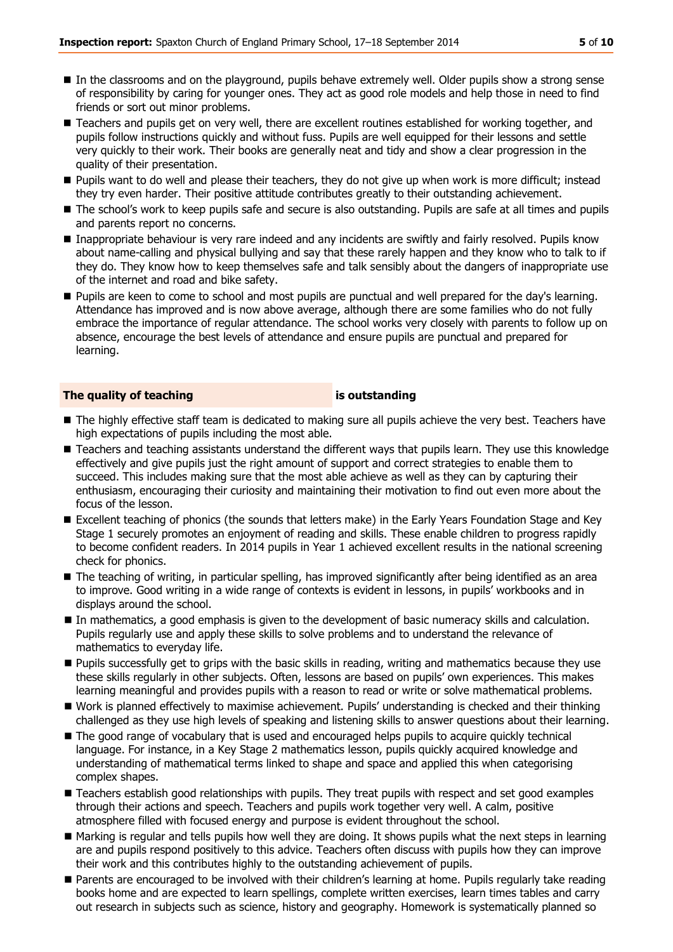- In the classrooms and on the playground, pupils behave extremely well. Older pupils show a strong sense of responsibility by caring for younger ones. They act as good role models and help those in need to find friends or sort out minor problems.
- Teachers and pupils get on very well, there are excellent routines established for working together, and pupils follow instructions quickly and without fuss. Pupils are well equipped for their lessons and settle very quickly to their work. Their books are generally neat and tidy and show a clear progression in the quality of their presentation.
- Pupils want to do well and please their teachers, they do not give up when work is more difficult; instead they try even harder. Their positive attitude contributes greatly to their outstanding achievement.
- The school's work to keep pupils safe and secure is also outstanding. Pupils are safe at all times and pupils and parents report no concerns.
- Inappropriate behaviour is very rare indeed and any incidents are swiftly and fairly resolved. Pupils know about name-calling and physical bullying and say that these rarely happen and they know who to talk to if they do. They know how to keep themselves safe and talk sensibly about the dangers of inappropriate use of the internet and road and bike safety.
- **Pupils are keen to come to school and most pupils are punctual and well prepared for the day's learning.** Attendance has improved and is now above average, although there are some families who do not fully embrace the importance of regular attendance. The school works very closely with parents to follow up on absence, encourage the best levels of attendance and ensure pupils are punctual and prepared for learning.

#### **The quality of teaching is outstanding**

- The highly effective staff team is dedicated to making sure all pupils achieve the very best. Teachers have high expectations of pupils including the most able.
- Teachers and teaching assistants understand the different ways that pupils learn. They use this knowledge effectively and give pupils just the right amount of support and correct strategies to enable them to succeed. This includes making sure that the most able achieve as well as they can by capturing their enthusiasm, encouraging their curiosity and maintaining their motivation to find out even more about the focus of the lesson.
- Excellent teaching of phonics (the sounds that letters make) in the Early Years Foundation Stage and Key Stage 1 securely promotes an enjoyment of reading and skills. These enable children to progress rapidly to become confident readers. In 2014 pupils in Year 1 achieved excellent results in the national screening check for phonics.
- The teaching of writing, in particular spelling, has improved significantly after being identified as an area to improve. Good writing in a wide range of contexts is evident in lessons, in pupils' workbooks and in displays around the school.
- In mathematics, a good emphasis is given to the development of basic numeracy skills and calculation. Pupils regularly use and apply these skills to solve problems and to understand the relevance of mathematics to everyday life.
- **Pupils successfully get to grips with the basic skills in reading, writing and mathematics because they use** these skills regularly in other subjects. Often, lessons are based on pupils' own experiences. This makes learning meaningful and provides pupils with a reason to read or write or solve mathematical problems.
- Work is planned effectively to maximise achievement. Pupils' understanding is checked and their thinking challenged as they use high levels of speaking and listening skills to answer questions about their learning.
- The good range of vocabulary that is used and encouraged helps pupils to acquire quickly technical language. For instance, in a Key Stage 2 mathematics lesson, pupils quickly acquired knowledge and understanding of mathematical terms linked to shape and space and applied this when categorising complex shapes.
- **Teachers establish good relationships with pupils. They treat pupils with respect and set good examples** through their actions and speech. Teachers and pupils work together very well. A calm, positive atmosphere filled with focused energy and purpose is evident throughout the school.
- Marking is regular and tells pupils how well they are doing. It shows pupils what the next steps in learning are and pupils respond positively to this advice. Teachers often discuss with pupils how they can improve their work and this contributes highly to the outstanding achievement of pupils.
- Parents are encouraged to be involved with their children's learning at home. Pupils regularly take reading books home and are expected to learn spellings, complete written exercises, learn times tables and carry out research in subjects such as science, history and geography. Homework is systematically planned so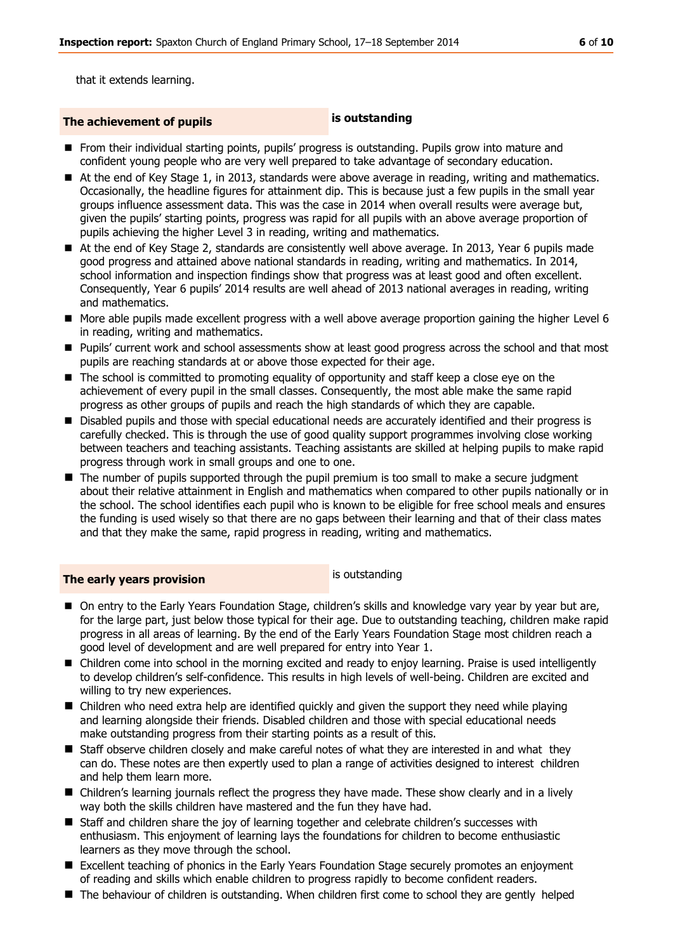that it extends learning.

# **The achievement of pupils is outstanding**

- From their individual starting points, pupils' progress is outstanding. Pupils grow into mature and confident young people who are very well prepared to take advantage of secondary education.
- At the end of Key Stage 1, in 2013, standards were above average in reading, writing and mathematics. Occasionally, the headline figures for attainment dip. This is because just a few pupils in the small year groups influence assessment data. This was the case in 2014 when overall results were average but, given the pupils' starting points, progress was rapid for all pupils with an above average proportion of pupils achieving the higher Level 3 in reading, writing and mathematics.
- At the end of Key Stage 2, standards are consistently well above average. In 2013, Year 6 pupils made good progress and attained above national standards in reading, writing and mathematics. In 2014, school information and inspection findings show that progress was at least good and often excellent. Consequently, Year 6 pupils' 2014 results are well ahead of 2013 national averages in reading, writing and mathematics.
- More able pupils made excellent progress with a well above average proportion gaining the higher Level 6 in reading, writing and mathematics.
- Pupils' current work and school assessments show at least good progress across the school and that most pupils are reaching standards at or above those expected for their age.
- The school is committed to promoting equality of opportunity and staff keep a close eye on the achievement of every pupil in the small classes. Consequently, the most able make the same rapid progress as other groups of pupils and reach the high standards of which they are capable.
- **Disabled pupils and those with special educational needs are accurately identified and their progress is** carefully checked. This is through the use of good quality support programmes involving close working between teachers and teaching assistants. Teaching assistants are skilled at helping pupils to make rapid progress through work in small groups and one to one.
- The number of pupils supported through the pupil premium is too small to make a secure judgment about their relative attainment in English and mathematics when compared to other pupils nationally or in the school. The school identifies each pupil who is known to be eligible for free school meals and ensures the funding is used wisely so that there are no gaps between their learning and that of their class mates and that they make the same, rapid progress in reading, writing and mathematics.

# **The early years provision** is outstanding

- On entry to the Early Years Foundation Stage, children's skills and knowledge vary year by year but are, for the large part, just below those typical for their age. Due to outstanding teaching, children make rapid progress in all areas of learning. By the end of the Early Years Foundation Stage most children reach a good level of development and are well prepared for entry into Year 1.
- Children come into school in the morning excited and ready to enjoy learning. Praise is used intelligently to develop children's self-confidence. This results in high levels of well-being. Children are excited and willing to try new experiences.
- Children who need extra help are identified quickly and given the support they need while playing and learning alongside their friends. Disabled children and those with special educational needs make outstanding progress from their starting points as a result of this.
- **Staff observe children closely and make careful notes of what they are interested in and what they** can do. These notes are then expertly used to plan a range of activities designed to interest children and help them learn more.
- **E** Children's learning journals reflect the progress they have made. These show clearly and in a lively way both the skills children have mastered and the fun they have had.
- Staff and children share the joy of learning together and celebrate children's successes with enthusiasm. This enjoyment of learning lays the foundations for children to become enthusiastic learners as they move through the school.
- Excellent teaching of phonics in the Early Years Foundation Stage securely promotes an enjoyment of reading and skills which enable children to progress rapidly to become confident readers.
- The behaviour of children is outstanding. When children first come to school they are gently helped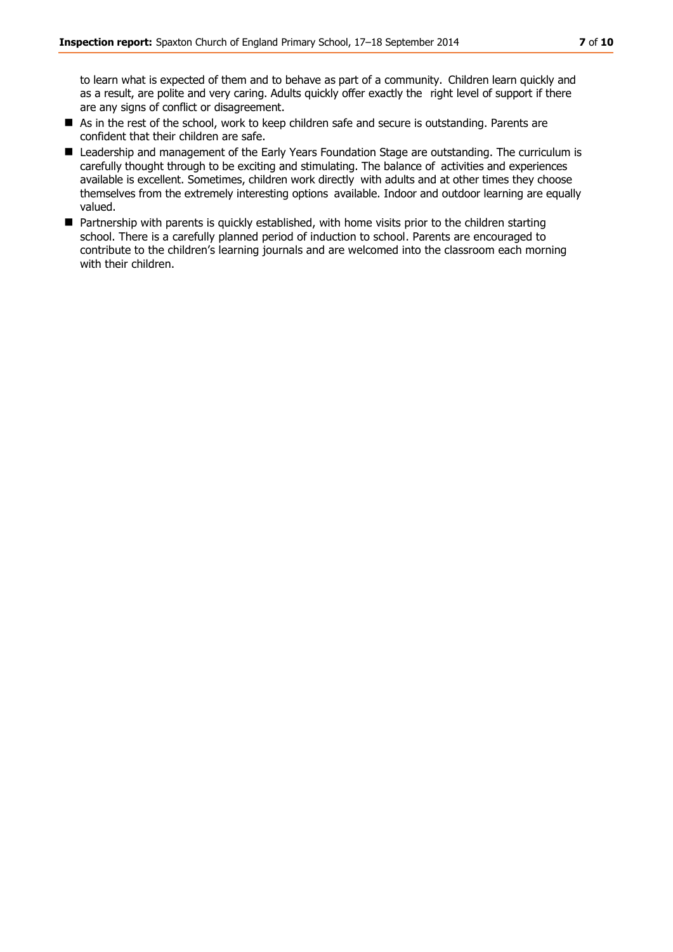to learn what is expected of them and to behave as part of a community. Children learn quickly and as a result, are polite and very caring. Adults quickly offer exactly the right level of support if there are any signs of conflict or disagreement.

- As in the rest of the school, work to keep children safe and secure is outstanding. Parents are confident that their children are safe.
- Leadership and management of the Early Years Foundation Stage are outstanding. The curriculum is carefully thought through to be exciting and stimulating. The balance of activities and experiences available is excellent. Sometimes, children work directly with adults and at other times they choose themselves from the extremely interesting options available. Indoor and outdoor learning are equally valued.
- Partnership with parents is quickly established, with home visits prior to the children starting school. There is a carefully planned period of induction to school. Parents are encouraged to contribute to the children's learning journals and are welcomed into the classroom each morning with their children.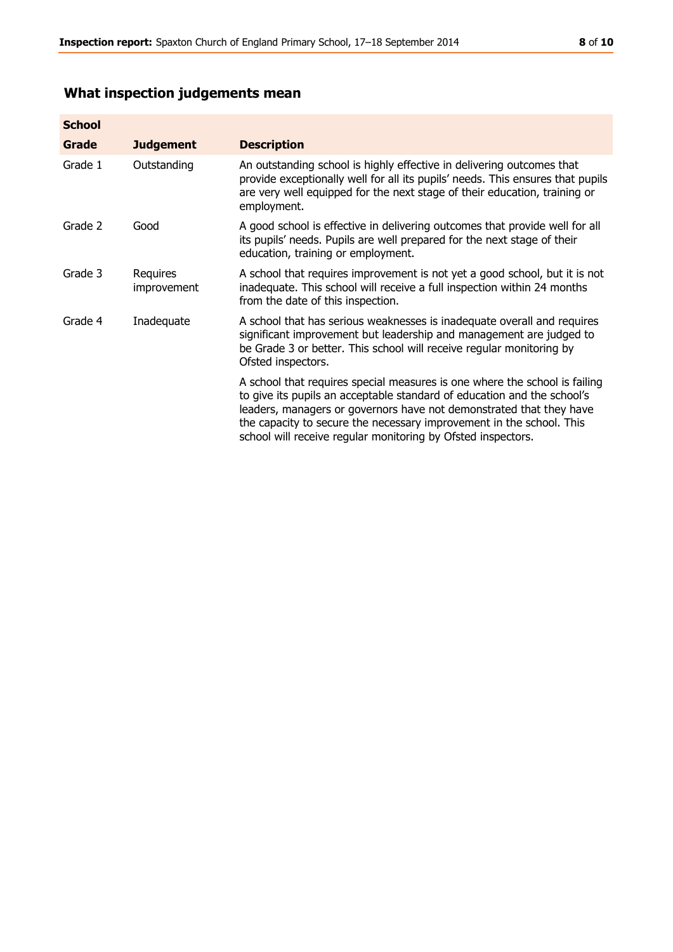# **What inspection judgements mean**

| <b>School</b> |                         |                                                                                                                                                                                                                                                                                                                                                                      |
|---------------|-------------------------|----------------------------------------------------------------------------------------------------------------------------------------------------------------------------------------------------------------------------------------------------------------------------------------------------------------------------------------------------------------------|
| Grade         | <b>Judgement</b>        | <b>Description</b>                                                                                                                                                                                                                                                                                                                                                   |
| Grade 1       | Outstanding             | An outstanding school is highly effective in delivering outcomes that<br>provide exceptionally well for all its pupils' needs. This ensures that pupils<br>are very well equipped for the next stage of their education, training or<br>employment.                                                                                                                  |
| Grade 2       | Good                    | A good school is effective in delivering outcomes that provide well for all<br>its pupils' needs. Pupils are well prepared for the next stage of their<br>education, training or employment.                                                                                                                                                                         |
| Grade 3       | Requires<br>improvement | A school that requires improvement is not yet a good school, but it is not<br>inadequate. This school will receive a full inspection within 24 months<br>from the date of this inspection.                                                                                                                                                                           |
| Grade 4       | Inadequate              | A school that has serious weaknesses is inadequate overall and requires<br>significant improvement but leadership and management are judged to<br>be Grade 3 or better. This school will receive regular monitoring by<br>Ofsted inspectors.                                                                                                                         |
|               |                         | A school that requires special measures is one where the school is failing<br>to give its pupils an acceptable standard of education and the school's<br>leaders, managers or governors have not demonstrated that they have<br>the capacity to secure the necessary improvement in the school. This<br>school will receive regular monitoring by Ofsted inspectors. |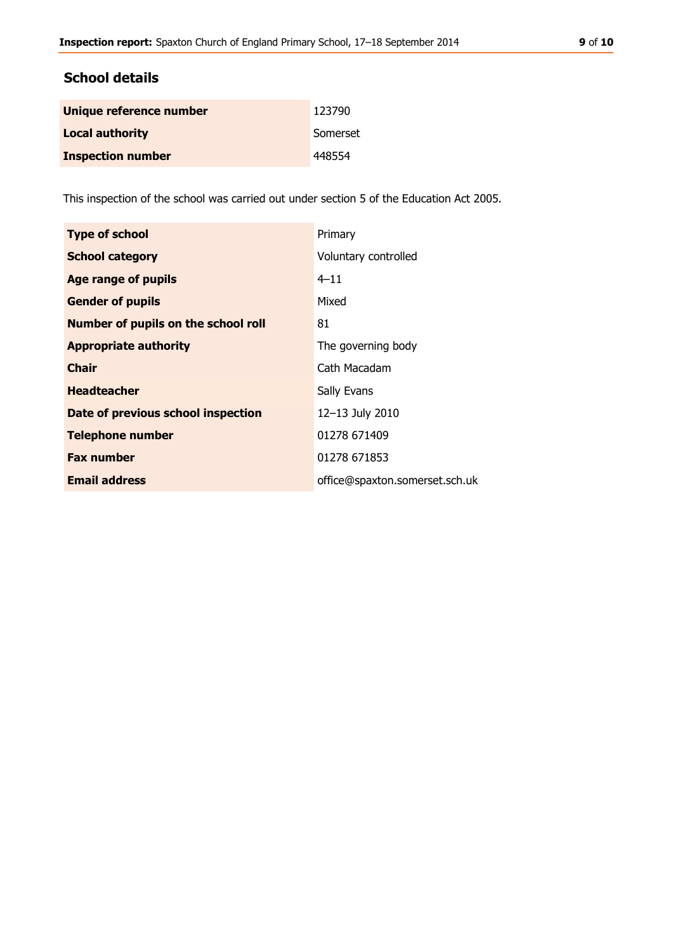## **School details**

| Unique reference number  | 123790   |
|--------------------------|----------|
| <b>Local authority</b>   | Somerset |
| <b>Inspection number</b> | 448554   |

This inspection of the school was carried out under section 5 of the Education Act 2005.

| <b>Type of school</b>                      | Primary                        |
|--------------------------------------------|--------------------------------|
| <b>School category</b>                     | Voluntary controlled           |
| <b>Age range of pupils</b>                 | $4 - 11$                       |
| <b>Gender of pupils</b>                    | Mixed                          |
| <b>Number of pupils on the school roll</b> | 81                             |
| <b>Appropriate authority</b>               | The governing body             |
| <b>Chair</b>                               | Cath Macadam                   |
| <b>Headteacher</b>                         | Sally Evans                    |
| Date of previous school inspection         | 12-13 July 2010                |
| <b>Telephone number</b>                    | 01278 671409                   |
| <b>Fax number</b>                          | 01278 671853                   |
| <b>Email address</b>                       | office@spaxton.somerset.sch.uk |